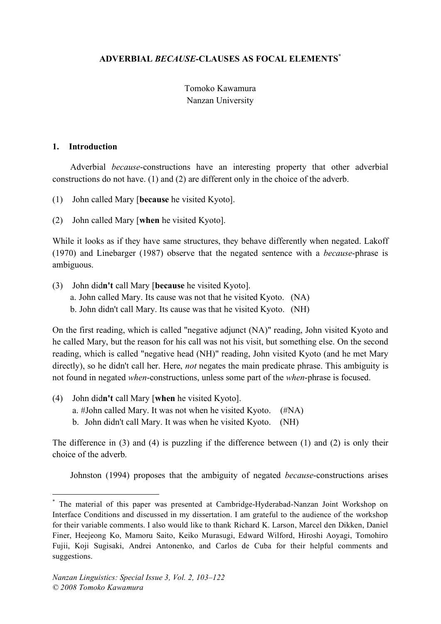# **ADVERBIAL** *BECAUSE-***CLAUSES AS FOCAL ELEMENTS\***

# Tomoko Kawamura Nanzan University

#### **1. Introduction**

Adverbial *because*-constructions have an interesting property that other adverbial constructions do not have. (1) and (2) are different only in the choice of the adverb.

(1) John called Mary [**because** he visited Kyoto].

(2) John called Mary [**when** he visited Kyoto].

While it looks as if they have same structures, they behave differently when negated. Lakoff (1970) and Linebarger (1987) observe that the negated sentence with a *because*-phrase is ambiguous.

(3) John did**n't** call Mary [**because** he visited Kyoto].

a. John called Mary. Its cause was not that he visited Kyoto. (NA)

b. John didn't call Mary. Its cause was that he visited Kyoto. (NH)

On the first reading, which is called "negative adjunct (NA)" reading, John visited Kyoto and he called Mary, but the reason for his call was not his visit, but something else. On the second reading, which is called "negative head (NH)" reading, John visited Kyoto (and he met Mary directly), so he didn't call her. Here, *not* negates the main predicate phrase. This ambiguity is not found in negated *when*-constructions, unless some part of the *when*-phrase is focused.

(4) John did**n't** call Mary [**when** he visited Kyoto]. a. #John called Mary. It was not when he visited Kyoto. (#NA) b. John didn't call Mary. It was when he visited Kyoto. (NH)

The difference in (3) and (4) is puzzling if the difference between (1) and (2) is only their choice of the adverb.

Johnston (1994) proposes that the ambiguity of negated *because*-constructions arises

 <sup>\*</sup> The material of this paper was presented at Cambridge-Hyderabad-Nanzan Joint Workshop on Interface Conditions and discussed in my dissertation. I am grateful to the audience of the workshop for their variable comments. I also would like to thank Richard K. Larson, Marcel den Dikken, Daniel Finer, Heejeong Ko, Mamoru Saito, Keiko Murasugi, Edward Wilford, Hiroshi Aoyagi, Tomohiro Fujii, Koji Sugisaki, Andrei Antonenko, and Carlos de Cuba for their helpful comments and suggestions.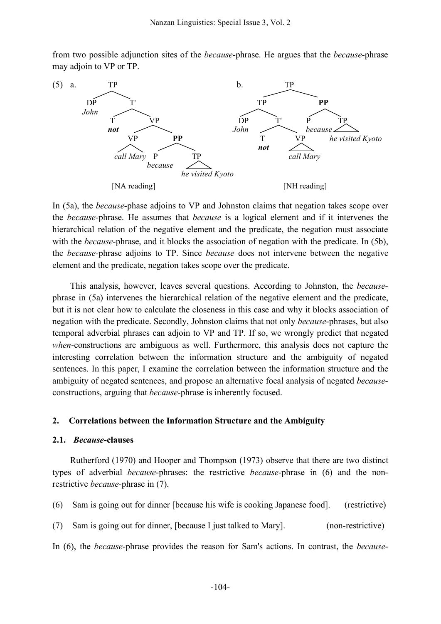from two possible adjunction sites of the *because*-phrase. He argues that the *because*-phrase may adjoin to VP or TP.



In (5a), the *because-*phase adjoins to VP and Johnston claims that negation takes scope over the *because-*phrase. He assumes that *because* is a logical element and if it intervenes the hierarchical relation of the negative element and the predicate, the negation must associate with the *because*-phrase, and it blocks the association of negation with the predicate. In (5b), the *because-*phrase adjoins to TP. Since *because* does not intervene between the negative element and the predicate, negation takes scope over the predicate.

This analysis, however, leaves several questions. According to Johnston, the *because*phrase in (5a) intervenes the hierarchical relation of the negative element and the predicate, but it is not clear how to calculate the closeness in this case and why it blocks association of negation with the predicate. Secondly, Johnston claims that not only *because*-phrases, but also temporal adverbial phrases can adjoin to VP and TP. If so, we wrongly predict that negated *when*-constructions are ambiguous as well. Furthermore, this analysis does not capture the interesting correlation between the information structure and the ambiguity of negated sentences. In this paper, I examine the correlation between the information structure and the ambiguity of negated sentences, and propose an alternative focal analysis of negated *because*constructions, arguing that *because-*phrase is inherently focused.

#### **2. Correlations between the Information Structure and the Ambiguity**

#### **2.1.** *Because***-clauses**

Rutherford (1970) and Hooper and Thompson (1973) observe that there are two distinct types of adverbial *because*-phrases: the restrictive *because-*phrase in (6) and the nonrestrictive *because-*phrase in (7).

(6) Sam is going out for dinner [because his wife is cooking Japanese food]. (restrictive)

(7) Sam is going out for dinner, [because I just talked to Mary]. (non-restrictive)

In (6), the *because-*phrase provides the reason for Sam's actions. In contrast, the *because*-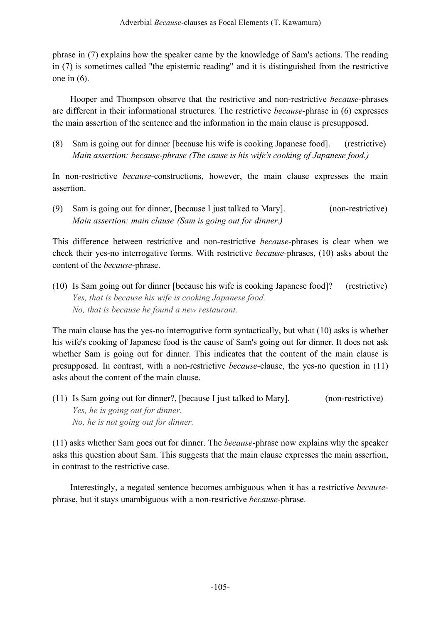phrase in (7) explains how the speaker came by the knowledge of Sam's actions. The reading in (7) is sometimes called "the epistemic reading" and it is distinguished from the restrictive one in (6).

Hooper and Thompson observe that the restrictive and non-restrictive *because*-phrases are different in their informational structures. The restrictive *because*-phrase in (6) expresses the main assertion of the sentence and the information in the main clause is presupposed.

(8) Sam is going out for dinner [because his wife is cooking Japanese food]. (restrictive) *Main assertion: because-phrase (The cause is his wife's cooking of Japanese food.)*

In non-restrictive *because*-constructions, however, the main clause expresses the main assertion.

(9) Sam is going out for dinner, [because I just talked to Mary]. (non-restrictive) *Main assertion: main clause (Sam is going out for dinner.)*

This difference between restrictive and non-restrictive *because-*phrases is clear when we check their yes-no interrogative forms. With restrictive *because-*phrases, (10) asks about the content of the *because*-phrase.

(10) Is Sam going out for dinner [because his wife is cooking Japanese food]? (restrictive) *Yes, that is because his wife is cooking Japanese food. No, that is because he found a new restaurant.*

The main clause has the yes-no interrogative form syntactically, but what (10) asks is whether his wife's cooking of Japanese food is the cause of Sam's going out for dinner. It does not ask whether Sam is going out for dinner. This indicates that the content of the main clause is presupposed. In contrast, with a non-restrictive *because-*clause, the yes-no question in (11) asks about the content of the main clause.

(11) Is Sam going out for dinner?, [because I just talked to Mary]. (non-restrictive) *Yes, he is going out for dinner. No, he is not going out for dinner.*

(11) asks whether Sam goes out for dinner. The *because*-phrase now explains why the speaker asks this question about Sam. This suggests that the main clause expresses the main assertion, in contrast to the restrictive case.

Interestingly, a negated sentence becomes ambiguous when it has a restrictive *because*phrase, but it stays unambiguous with a non-restrictive *because*-phrase.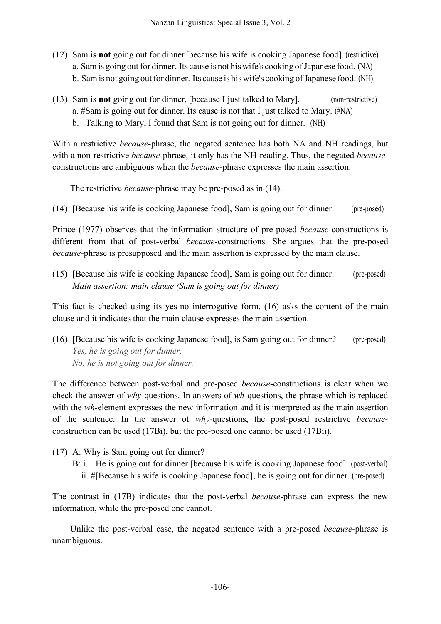- (12) Sam is **not** going out for dinner [because his wife is cooking Japanese food]. (restrictive) a. Sam is going out for dinner. Its cause is not his wife's cooking of Japanese food. (NA) b. Sam is not going out for dinner. Its cause is his wife's cooking of Japanese food. (NH)
- (13) Sam is **not** going out for dinner, [because I just talked to Mary]. (non-restrictive) a. #Sam is going out for dinner. Its cause is not that I just talked to Mary. (#NA)
	- b. Talking to Mary, I found that Sam is not going out for dinner. (NH)

With a restrictive *because*-phrase, the negated sentence has both NA and NH readings, but with a non-restrictive *because-*phrase, it only has the NH-reading. Thus, the negated *because*constructions are ambiguous when the *because*-phrase expresses the main assertion.

The restrictive *because-*phrase may be pre-posed as in (14).

(14) [Because his wife is cooking Japanese food], Sam is going out for dinner. (pre-posed)

Prince (1977) observes that the information structure of pre-posed *because*-constructions is different from that of post-verbal *because-*constructions. She argues that the pre-posed *because*-phrase is presupposed and the main assertion is expressed by the main clause.

(15) [Because his wife is cooking Japanese food], Sam is going out for dinner. (pre-posed) *Main assertion: main clause (Sam is going out for dinner)*

This fact is checked using its yes-no interrogative form. (16) asks the content of the main clause and it indicates that the main clause expresses the main assertion.

(16) [Because his wife is cooking Japanese food], is Sam going out for dinner? (pre-posed) *Yes, he is going out for dinner. No, he is not going out for dinner.*

The difference between post-verbal and pre-posed *because-*constructions is clear when we check the answer of *why-*questions. In answers of *wh-*questions, the phrase which is replaced with the *wh-*element expresses the new information and it is interpreted as the main assertion of the sentence. In the answer of *why-*questions, the post-posed restrictive *because*construction can be used (17Bi), but the pre-posed one cannot be used (17Bii).

- (17) A: Why is Sam going out for dinner?
	- B: i. He is going out for dinner [because his wife is cooking Japanese food]. (post-verbal) ii. #[Because his wife is cooking Japanese food], he is going out for dinner. (pre-posed)

The contrast in (17B) indicates that the post-verbal *because*-phrase can express the new information, while the pre-posed one cannot.

Unlike the post-verbal case, the negated sentence with a pre-posed *because*-phrase is unambiguous.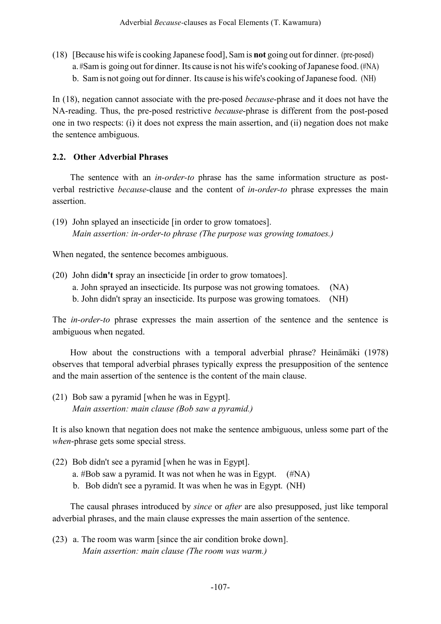(18) [Because his wife is cooking Japanese food], Sam is **not** going outfor dinner. (pre-posed) a. #Sam is going out for dinner. Its cause is not his wife's cooking of Japanese food. (#NA) b. Sam is not going out for dinner. Its cause is his wife's cooking of Japanese food. (NH)

In (18), negation cannot associate with the pre-posed *because*-phrase and it does not have the NA-reading. Thus, the pre-posed restrictive *because*-phrase is different from the post-posed one in two respects: (i) it does not express the main assertion, and (ii) negation does not make the sentence ambiguous.

### **2.2. Other Adverbial Phrases**

The sentence with an *in-order-to* phrase has the same information structure as postverbal restrictive *because*-clause and the content of *in-order-to* phrase expresses the main assertion.

(19) John splayed an insecticide [in order to grow tomatoes]. *Main assertion: in-order-to phrase (The purpose was growing tomatoes.)*

When negated, the sentence becomes ambiguous.

- (20) John did**n't** spray an insecticide [in order to grow tomatoes].
	- a. John sprayed an insecticide. Its purpose was not growing tomatoes. (NA)
	- b. John didn't spray an insecticide. Its purpose was growing tomatoes. (NH)

The *in-order-to* phrase expresses the main assertion of the sentence and the sentence is ambiguous when negated.

How about the constructions with a temporal adverbial phrase? Heinämäki (1978) observes that temporal adverbial phrases typically express the presupposition of the sentence and the main assertion of the sentence is the content of the main clause.

(21) Bob saw a pyramid [when he was in Egypt]. *Main assertion: main clause (Bob saw a pyramid.)*

It is also known that negation does not make the sentence ambiguous, unless some part of the *when*-phrase gets some special stress.

- (22) Bob didn't see a pyramid [when he was in Egypt].
	- a. #Bob saw a pyramid. It was not when he was in Egypt. (#NA)
	- b. Bob didn't see a pyramid. It was when he was in Egypt. (NH)

The causal phrases introduced by *since* or *after* are also presupposed, just like temporal adverbial phrases, and the main clause expresses the main assertion of the sentence.

(23) a. The room was warm [since the air condition broke down]. *Main assertion: main clause (The room was warm.)*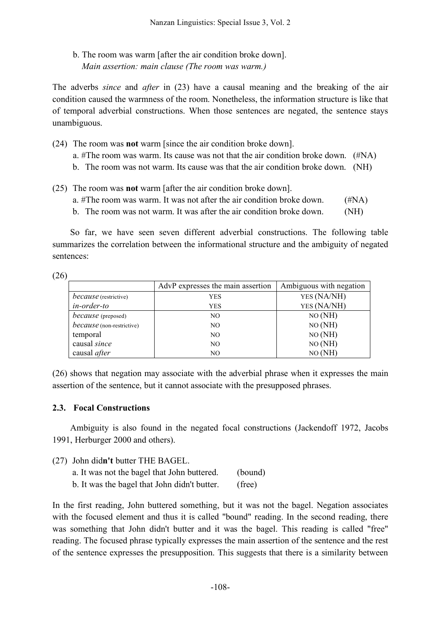b. The room was warm [after the air condition broke down]. *Main assertion: main clause (The room was warm.)*

The adverbs *since* and *after* in (23) have a causal meaning and the breaking of the air condition caused the warmness of the room. Nonetheless, the information structure is like that of temporal adverbial constructions. When those sentences are negated, the sentence stays unambiguous.

(24) The room was **not** warm [since the air condition broke down].

a. #The room was warm. Its cause was not that the air condition broke down. (#NA)

- b. The room was not warm. Its cause was that the air condition broke down. (NH)
- (25) The room was **not** warm [after the air condition broke down].
	- a.  $#The room was warm. It was not after the air condition broke down.$  ( $#NA$ )
	- b. The room was not warm. It was after the air condition broke down. (NH)

So far, we have seen seven different adverbial constructions. The following table summarizes the correlation between the informational structure and the ambiguity of negated sentences:

(26)

|                                  | AdvP expresses the main assertion | Ambiguous with negation |
|----------------------------------|-----------------------------------|-------------------------|
| <i>because</i> (restrictive)     | YES                               | YES (NA/NH)             |
| in-order-to                      | YES                               | YES (NA/NH)             |
| <i>because</i> (preposed)        | NO.                               | NO(MH)                  |
| <i>because</i> (non-restrictive) | NO.                               | NO(MH)                  |
| temporal                         | NO.                               | NO(MH)                  |
| causal since                     | NO.                               | NO(MH)                  |
| causal <i>after</i>              | NO.                               | NO(MH)                  |

(26) shows that negation may associate with the adverbial phrase when it expresses the main assertion of the sentence, but it cannot associate with the presupposed phrases.

### **2.3. Focal Constructions**

Ambiguity is also found in the negated focal constructions (Jackendoff 1972, Jacobs 1991, Herburger 2000 and others).

(27) John did**n't** butter THE BAGEL.

| a. It was not the bagel that John buttered.  | (bound) |
|----------------------------------------------|---------|
| b. It was the bagel that John didn't butter. | (free)  |

In the first reading, John buttered something, but it was not the bagel. Negation associates with the focused element and thus it is called "bound" reading. In the second reading, there was something that John didn't butter and it was the bagel. This reading is called "free" reading. The focused phrase typically expresses the main assertion of the sentence and the rest

of the sentence expresses the presupposition. This suggests that there is a similarity between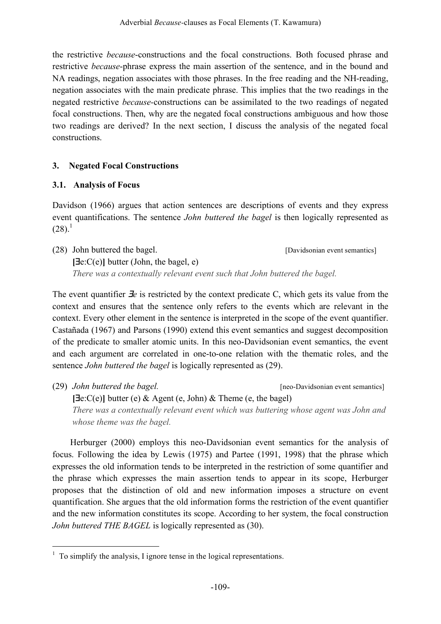the restrictive *because*-constructions and the focal constructions. Both focused phrase and restrictive *because*-phrase express the main assertion of the sentence, and in the bound and NA readings, negation associates with those phrases. In the free reading and the NH-reading, negation associates with the main predicate phrase. This implies that the two readings in the negated restrictive *because-*constructions can be assimilated to the two readings of negated focal constructions. Then, why are the negated focal constructions ambiguous and how those two readings are derived? In the next section, I discuss the analysis of the negated focal constructions.

# **3. Negated Focal Constructions**

# **3.1. Analysis of Focus**

Davidson (1966) argues that action sentences are descriptions of events and they express event quantifications. The sentence *John buttered the bagel* is then logically represented as  $(28)^{1}$ 

(28) John buttered the bagel. [Davidsonian event semantics] **[**∃e:C(e)**]** butter (John, the bagel, e) *There was a contextually relevant event such that John buttered the bagel.*

The event quantifier ∃*e* is restricted by the context predicate C, which gets its value from the context and ensures that the sentence only refers to the events which are relevant in the context. Every other element in the sentence is interpreted in the scope of the event quantifier. Castañada (1967) and Parsons (1990) extend this event semantics and suggest decomposition of the predicate to smaller atomic units. In this neo-Davidsonian event semantics, the event and each argument are correlated in one-to-one relation with the thematic roles, and the sentence *John buttered the bagel* is logically represented as (29).

(29) *John buttered the bagel.* [neo-Davidsonian event semantics] **[**∃e:C(e)**]** butter (e) & Agent (e, John) & Theme (e, the bagel) *There was a contextually relevant event which was buttering whose agent was John and whose theme was the bagel.*

Herburger (2000) employs this neo-Davidsonian event semantics for the analysis of focus. Following the idea by Lewis (1975) and Partee (1991, 1998) that the phrase which expresses the old information tends to be interpreted in the restriction of some quantifier and the phrase which expresses the main assertion tends to appear in its scope, Herburger proposes that the distinction of old and new information imposes a structure on event quantification. She argues that the old information forms the restriction of the event quantifier and the new information constitutes its scope. According to her system, the focal construction *John buttered THE BAGEL* is logically represented as (30).

 $1$  To simplify the analysis, I ignore tense in the logical representations.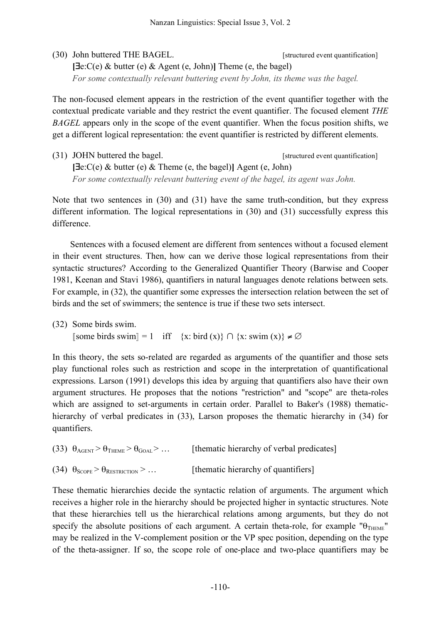(30) John buttered THE BAGEL. [structured event quantification] **[**∃e:C(e) & butter (e) & Agent (e, John)**]** Theme (e, the bagel) *For some contextually relevant buttering event by John, its theme was the bagel.*

The non-focused element appears in the restriction of the event quantifier together with the contextual predicate variable and they restrict the event quantifier. The focused element *THE BAGEL* appears only in the scope of the event quantifier. When the focus position shifts, we get a different logical representation: the event quantifier is restricted by different elements.

(31) JOHN buttered the bagel. [structured event quantification] **[**∃e:C(e) & butter (e) & Theme (e, the bagel)**]** Agent (e, John) *For some contextually relevant buttering event of the bagel, its agent was John.*

Note that two sentences in (30) and (31) have the same truth-condition, but they express different information. The logical representations in (30) and (31) successfully express this difference.

Sentences with a focused element are different from sentences without a focused element in their event structures. Then, how can we derive those logical representations from their syntactic structures? According to the Generalized Quantifier Theory (Barwise and Cooper 1981, Keenan and Stavi 1986), quantifiers in natural languages denote relations between sets. For example, in (32), the quantifier some expresses the intersection relation between the set of birds and the set of swimmers; the sentence is true if these two sets intersect.

(32) Some birds swim. **[**some birds swim] = 1 iff {x: bird (x)} ∩ {x: swim (x)}  $\neq \emptyset$ 

In this theory, the sets so-related are regarded as arguments of the quantifier and those sets play functional roles such as restriction and scope in the interpretation of quantificational expressions. Larson (1991) develops this idea by arguing that quantifiers also have their own argument structures. He proposes that the notions "restriction" and "scope" are theta-roles which are assigned to set-arguments in certain order. Parallel to Baker's (1988) thematichierarchy of verbal predicates in (33), Larson proposes the thematic hierarchy in (34) for quantifiers.

- (33)  $\theta_{\text{AGENT}} > \theta_{\text{THEME}} > \theta_{\text{GOAL}} > ...$  [thematic hierarchy of verbal predicates]
- (34)  $\theta_{\text{SCOPE}} > \theta_{\text{RESTRICTON}} > ...$  [thematic hierarchy of quantifiers]

These thematic hierarchies decide the syntactic relation of arguments. The argument which receives a higher role in the hierarchy should be projected higher in syntactic structures. Note that these hierarchies tell us the hierarchical relations among arguments, but they do not specify the absolute positions of each argument. A certain theta-role, for example " $\theta_{\text{THEME}}$ " may be realized in the V-complement position or the VP spec position, depending on the type of the theta-assigner. If so, the scope role of one-place and two-place quantifiers may be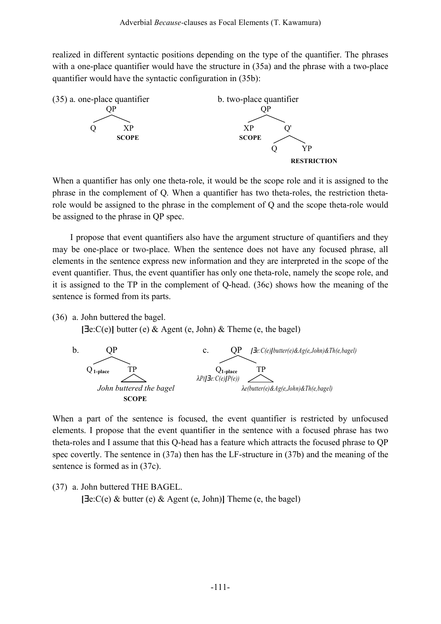realized in different syntactic positions depending on the type of the quantifier. The phrases with a one-place quantifier would have the structure in  $(35a)$  and the phrase with a two-place quantifier would have the syntactic configuration in (35b):



When a quantifier has only one theta-role, it would be the scope role and it is assigned to the phrase in the complement of Q. When a quantifier has two theta-roles, the restriction thetarole would be assigned to the phrase in the complement of Q and the scope theta-role would be assigned to the phrase in QP spec.

I propose that event quantifiers also have the argument structure of quantifiers and they may be one-place or two-place. When the sentence does not have any focused phrase, all elements in the sentence express new information and they are interpreted in the scope of the event quantifier. Thus, the event quantifier has only one theta-role, namely the scope role, and it is assigned to the TP in the complement of Q-head. (36c) shows how the meaning of the sentence is formed from its parts.

(36) a. John buttered the bagel.

**[**∃e:C(e)**]** butter (e) & Agent (e, John) & Theme (e, the bagel)



When a part of the sentence is focused, the event quantifier is restricted by unfocused elements. I propose that the event quantifier in the sentence with a focused phrase has two theta-roles and I assume that this Q-head has a feature which attracts the focused phrase to QP spec covertly. The sentence in (37a) then has the LF-structure in (37b) and the meaning of the sentence is formed as in (37c).

(37) a. John buttered THE BAGEL. **[**∃e:C(e) & butter (e) & Agent (e, John)**]** Theme (e, the bagel)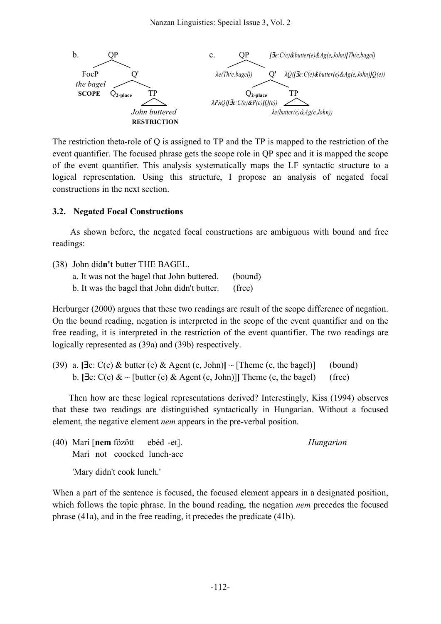

The restriction theta-role of Q is assigned to TP and the TP is mapped to the restriction of the event quantifier. The focused phrase gets the scope role in QP spec and it is mapped the scope of the event quantifier. This analysis systematically maps the LF syntactic structure to a logical representation. Using this structure, I propose an analysis of negated focal constructions in the next section.

### **3.2. Negated Focal Constructions**

As shown before, the negated focal constructions are ambiguous with bound and free readings:

- (38) John did**n't** butter THE BAGEL.
	- a. It was not the bagel that John buttered. (bound)
	- b. It was the bagel that John didn't butter. (free)

Herburger (2000) argues that these two readings are result of the scope difference of negation. On the bound reading, negation is interpreted in the scope of the event quantifier and on the free reading, it is interpreted in the restriction of the event quantifier. The two readings are logically represented as (39a) and (39b) respectively.

(39) a. **[∃e**:  $C(e)$  & butter (e) & Agent (e, John)] ~ [Theme (e, the bagel)] (bound) b.  $[\exists e: C(e) \& \sim [\text{butter}(e) \& \text{Agent}(e, \text{John})]]$  Theme (e, the bagel) (free)

Then how are these logical representations derived? Interestingly, Kiss (1994) observes that these two readings are distinguished syntactically in Hungarian. Without a focused element, the negative element *nem* appears in the pre-verbal position.

(40) Mari [**nem** fözött ebéd -et]. *Hungarian* Mari not coocked lunch-acc

'Mary didn't cook lunch.'

When a part of the sentence is focused, the focused element appears in a designated position, which follows the topic phrase. In the bound reading, the negation *nem* precedes the focused phrase (41a), and in the free reading, it precedes the predicate (41b).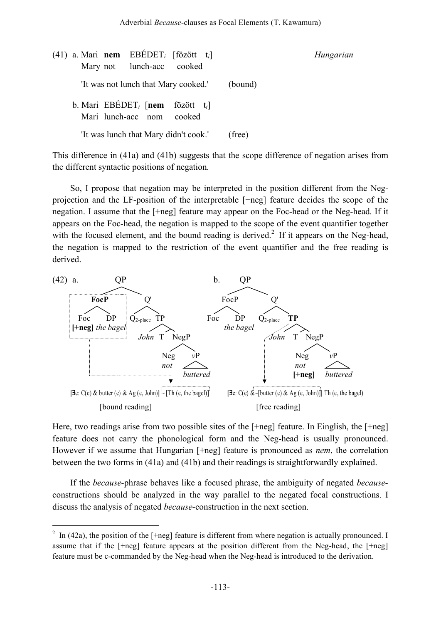| (41) a. Mari nem EBÉDET <sub>i</sub> [fözött t <sub>i</sub> ]<br>Mary not lunch-acc<br>cooked | Hungarian |
|-----------------------------------------------------------------------------------------------|-----------|
| 'It was not lunch that Mary cooked.'                                                          | (bound)   |
| b. Mari EBÉDET <sub>i</sub> [nem fözött $t_i$ ]<br>Mari lunch-acc nom<br>cooked               |           |
| 'It was lunch that Mary didn't cook.'                                                         | (free)    |

This difference in (41a) and (41b) suggests that the scope difference of negation arises from the different syntactic positions of negation.

So, I propose that negation may be interpreted in the position different from the Negprojection and the LF-position of the interpretable [+neg] feature decides the scope of the negation. I assume that the [+neg] feature may appear on the Foc-head or the Neg-head. If it appears on the Foc-head, the negation is mapped to the scope of the event quantifier together with the focused element, and the bound reading is derived.<sup>2</sup> If it appears on the Neg-head, the negation is mapped to the restriction of the event quantifier and the free reading is derived.



Here, two readings arise from two possible sites of the [+neg] feature. In Einglish, the [+neg] feature does not carry the phonological form and the Neg-head is usually pronounced. However if we assume that Hungarian [+neg] feature is pronounced as *nem*, the correlation between the two forms in (41a) and (41b) and their readings is straightforwardly explained.

If the *because-*phrase behaves like a focused phrase, the ambiguity of negated *because*constructions should be analyzed in the way parallel to the negated focal constructions. I discuss the analysis of negated *because*-construction in the next section.

 $2 \text{ In (42a), the position of the [+neg] feature is different from where negation is actually pronounced. I }$ assume that if the [+neg] feature appears at the position different from the Neg-head, the [+neg] feature must be c-commanded by the Neg-head when the Neg-head is introduced to the derivation.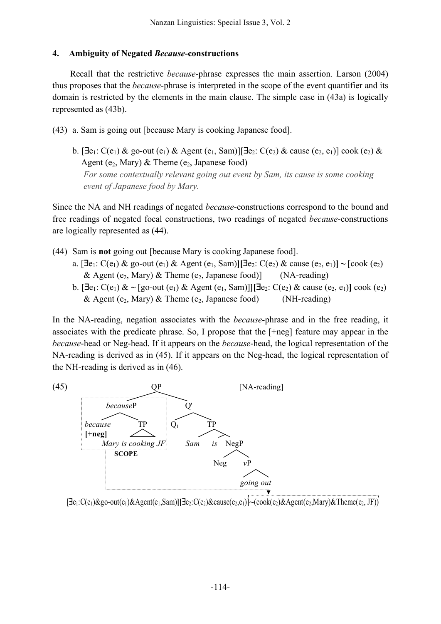#### **4. Ambiguity of Negated** *Because***-constructions**

Recall that the restrictive *because*-phrase expresses the main assertion. Larson (2004) thus proposes that the *because-*phrase is interpreted in the scope of the event quantifier and its domain is restricted by the elements in the main clause. The simple case in (43a) is logically represented as (43b).

- (43) a. Sam is going out [because Mary is cooking Japanese food].
	- b.  $[\exists e_1: C(e_1) \&$  go-out  $(e_1) \&$  Agent  $(e_1, Sam)$ ] $[\exists e_2: C(e_2) \&$  cause  $(e_2, e_1)]$  cook  $(e_2) \&$ Agent (e<sub>2</sub>, Mary) & Theme (e<sub>2</sub>, Japanese food) *For some contextually relevant going out event by Sam, its cause is some cooking event of Japanese food by Mary.*

Since the NA and NH readings of negated *because*-constructions correspond to the bound and free readings of negated focal constructions, two readings of negated *because*-constructions are logically represented as (44).

- (44) Sam is **not** going out [because Mary is cooking Japanese food].
	- a.  $[\exists e_1: C(e_1) \& \text{go-out}(e_1) \& \text{Agent}(e_1, Sam)][\exists e_2: C(e_2) \& \text{cause}(e_2, e_1)] \sim [\text{cook}(e_2)]$ & Agent (e<sub>2</sub>, Mary) & Theme (e<sub>2</sub>, Japanese food)] (NA-reading)
	- b.  $[∃e₁: C(e₁) < √ [go-out (e₁) & Agent (e₁, Sam)]][∃e₂: C(e₂) & cause (e₂, e₁)] cook (e₂)$ & Agent (e<sub>2</sub>, Mary) & Theme (e<sub>2</sub>, Japanese food) (NH-reading)

In the NA-reading, negation associates with the *because*-phrase and in the free reading, it associates with the predicate phrase. So, I propose that the [+neg] feature may appear in the *because*-head or Neg-head. If it appears on the *because*-head, the logical representation of the NA-reading is derived as in (45). If it appears on the Neg-head, the logical representation of the NH-reading is derived as in (46).



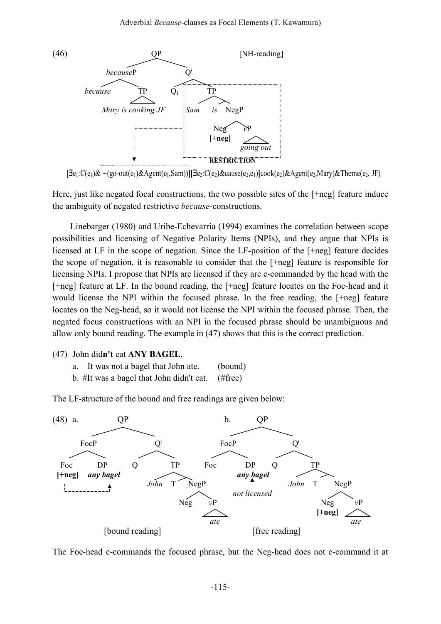

[∃e1:C(e1)& **~**(go-out(e1)&Agent(e1,Sam))**][**∃e2:C(e2)&cause(e2,e1)**]**cook(e2)&Agent(e2,Mary)&Theme(e2, JF)

Here, just like negated focal constructions, the two possible sites of the [+neg] feature induce the ambiguity of negated restrictive *because*-constructions.

Linebarger (1980) and Uribe-Echevarria (1994) examines the correlation between scope possibilities and licensing of Negative Polarity Items (NPIs), and they argue that NPIs is licensed at LF in the scope of negation. Since the LF-position of the [+neg] feature decides the scope of negation, it is reasonable to consider that the [+neg] feature is responsible for licensing NPIs. I propose that NPIs are licensed if they are c-commanded by the head with the [+neg] feature at LF. In the bound reading, the [+neg] feature locates on the Foc-head and it would license the NPI within the focused phrase. In the free reading, the [+neg] feature locates on the Neg-head, so it would not license the NPI within the focused phrase. Then, the negated focus constructions with an NPI in the focused phrase should be unambiguous and allow only bound reading. The example in (47) shows that this is the correct prediction.

- (47) John did**n't** eat **ANY BAGEL**.
	- a. It was not a bagel that John ate. (bound)
	- b. #It was a bagel that John didn't eat. (#free)

The LF-structure of the bound and free readings are given below:



The Foc-head c-commands the focused phrase, but the Neg-head does not c-command it at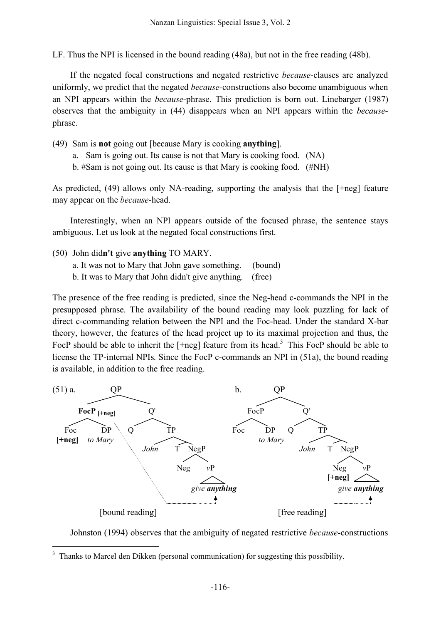LF. Thus the NPI is licensed in the bound reading (48a), but not in the free reading (48b).

If the negated focal constructions and negated restrictive *because*-clauses are analyzed uniformly, we predict that the negated *because-*constructions also become unambiguous when an NPI appears within the *because*-phrase. This prediction is born out. Linebarger (1987) observes that the ambiguity in (44) disappears when an NPI appears within the *because*phrase.

(49) Sam is **not** going out [because Mary is cooking **anything**].

- a. Sam is going out. Its cause is not that Mary is cooking food. (NA)
- b. #Sam is not going out. Its cause is that Mary is cooking food. (#NH)

As predicted, (49) allows only NA-reading, supporting the analysis that the [+neg] feature may appear on the *because*-head.

Interestingly, when an NPI appears outside of the focused phrase, the sentence stays ambiguous. Let us look at the negated focal constructions first.

- (50) John did**n't** give **anything** TO MARY.
	- a. It was not to Mary that John gave something. (bound)
	- b. It was to Mary that John didn't give anything. (free)

The presence of the free reading is predicted, since the Neg-head c-commands the NPI in the presupposed phrase. The availability of the bound reading may look puzzling for lack of direct c-commanding relation between the NPI and the Foc-head. Under the standard X-bar theory, however, the features of the head project up to its maximal projection and thus, the FocP should be able to inherit the  $[+neq]$  feature from its head.<sup>3</sup> This FocP should be able to license the TP-internal NPIs. Since the FocP c-commands an NPI in (51a), the bound reading is available, in addition to the free reading.



Johnston (1994) observes that the ambiguity of negated restrictive *because-*constructions

 <sup>3</sup> Thanks to Marcel den Dikken (personal communication) for suggesting this possibility.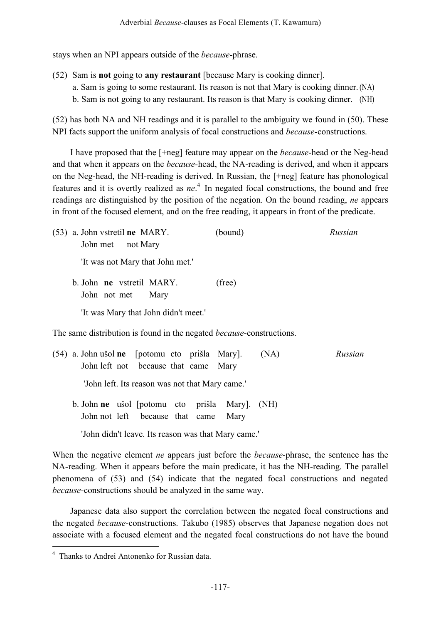stays when an NPI appears outside of the *because*-phrase.

- (52) Sam is **not** going to **any restaurant** [because Mary is cooking dinner].
	- a. Sam is going to some restaurant. Its reason is not that Mary is cooking dinner. (NA)
	- b. Sam is not going to any restaurant. Its reason is that Mary is cooking dinner. (NH)

(52) has both NA and NH readings and it is parallel to the ambiguity we found in (50). These NPI facts support the uniform analysis of focal constructions and *because-*constructions.

I have proposed that the [+neg] feature may appear on the *because-*head or the Neg-head and that when it appears on the *because-*head, the NA-reading is derived, and when it appears on the Neg-head, the NH-reading is derived. In Russian, the [+neg] feature has phonological features and it is overtly realized as *ne*. <sup>4</sup> In negated focal constructions, the bound and free readings are distinguished by the position of the negation. On the bound reading, *ne* appears in front of the focused element, and on the free reading, it appears in front of the predicate.

(53) a. John vstretil **ne** MARY. (bound) *Russian* John met not Mary 'It was not Mary that John met.' b. John **ne** vstretil MARY. (free) John not met Mary 'It was Mary that John didn't meet.' The same distribution is found in the negated *because*-constructions. (54) a. John ušol **ne** [potomu cto prišla Mary]. (NA) *Russian* John left not because that came Mary 'John left. Its reason was not that Mary came.' b. John **ne** ušol [potomu cto prišla Mary]. (NH) John not left because that came Mary

'John didn't leave. Its reason was that Mary came.'

When the negative element *ne* appears just before the *because*-phrase, the sentence has the NA-reading. When it appears before the main predicate, it has the NH-reading. The parallel phenomena of (53) and (54) indicate that the negated focal constructions and negated *because*-constructions should be analyzed in the same way.

Japanese data also support the correlation between the negated focal constructions and the negated *because*-constructions. Takubo (1985) observes that Japanese negation does not associate with a focused element and the negated focal constructions do not have the bound

 <sup>4</sup> Thanks to Andrei Antonenko for Russian data.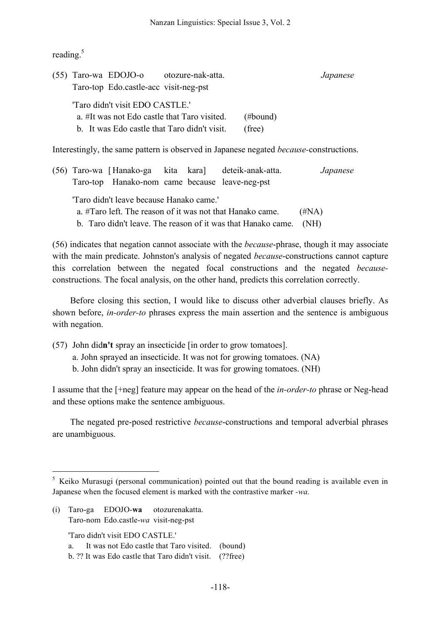reading.<sup>5</sup>

|                                                                                                                                 |  | $(55)$ Taro-wa EDOJO-o<br>Taro-top Edo.castle-acc visit-neg-pst | otozure-nak-atta. |                    | Japanese |
|---------------------------------------------------------------------------------------------------------------------------------|--|-----------------------------------------------------------------|-------------------|--------------------|----------|
| 'Taro didn't visit EDO CASTLE.'<br>a. #It was not Edo castle that Taro visited.<br>b. It was Edo castle that Taro didn't visit. |  |                                                                 |                   | (#bound)<br>(free) |          |

Interestingly, the same pattern is observed in Japanese negated *because-*constructions.

|                                                                                                                                |                                          |                                                |  |  | (56) Taro-wa [Hanako-ga kita kara] deteik-anak-atta. | Japanese |
|--------------------------------------------------------------------------------------------------------------------------------|------------------------------------------|------------------------------------------------|--|--|------------------------------------------------------|----------|
|                                                                                                                                |                                          | Taro-top Hanako-nom came because leave-neg-pst |  |  |                                                      |          |
|                                                                                                                                | "Taro didn't leave because Hanako came." |                                                |  |  |                                                      | (HNA)    |
| a. #Taro left. The reason of it was not that Hanako came.<br>b. Taro didn't leave. The reason of it was that Hanako came. (NH) |                                          |                                                |  |  |                                                      |          |
|                                                                                                                                |                                          |                                                |  |  |                                                      |          |

(56) indicates that negation cannot associate with the *because*-phrase, though it may associate with the main predicate. Johnston's analysis of negated *because*-constructions cannot capture this correlation between the negated focal constructions and the negated *because*constructions. The focal analysis, on the other hand, predicts this correlation correctly.

Before closing this section, I would like to discuss other adverbial clauses briefly. As shown before, *in-order-to* phrases express the main assertion and the sentence is ambiguous with negation.

- (57) John did**n't** spray an insecticide [in order to grow tomatoes].
	- a. John sprayed an insecticide. It was not for growing tomatoes. (NA)
	- b. John didn't spray an insecticide. It was for growing tomatoes. (NH)

I assume that the [+neg] feature may appear on the head of the *in-order-to* phrase or Neg-head and these options make the sentence ambiguous.

The negated pre-posed restrictive *because*-constructions and temporal adverbial phrases are unambiguous.

(i) Taro-ga EDOJO-**wa** otozurenakatta. Taro-nom Edo.castle-*wa* visit-neg-pst

'Taro didn't visit EDO CASTLE.'

a. It was not Edo castle that Taro visited. (bound)

 $5$  Keiko Murasugi (personal communication) pointed out that the bound reading is available even in Japanese when the focused element is marked with the contrastive marker *-wa.*

b. ?? It was Edo castle that Taro didn't visit. (??free)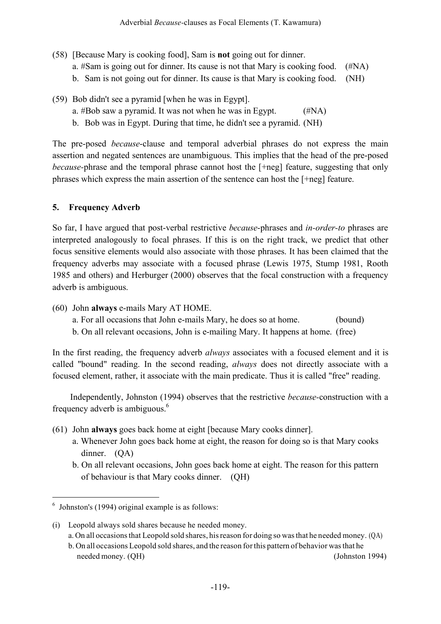- (58) [Because Mary is cooking food], Sam is **not** going out for dinner. a. #Sam is going out for dinner. Its cause is not that Mary is cooking food. (#NA) b. Sam is not going out for dinner. Its cause is that Mary is cooking food. (NH)
- (59) Bob didn't see a pyramid [when he was in Egypt].
	- a. #Bob saw a pyramid. It was not when he was in Egypt. (#NA)
	- b. Bob was in Egypt. During that time, he didn't see a pyramid. (NH)

The pre-posed *because*-clause and temporal adverbial phrases do not express the main assertion and negated sentences are unambiguous. This implies that the head of the pre-posed *because-*phrase and the temporal phrase cannot host the [+neg] feature, suggesting that only phrases which express the main assertion of the sentence can host the [+neg] feature.

### **5. Frequency Adverb**

So far, I have argued that post-verbal restrictive *because*-phrases and *in-order-to* phrases are interpreted analogously to focal phrases. If this is on the right track, we predict that other focus sensitive elements would also associate with those phrases. It has been claimed that the frequency adverbs may associate with a focused phrase (Lewis 1975, Stump 1981, Rooth 1985 and others) and Herburger (2000) observes that the focal construction with a frequency adverb is ambiguous.

- (60) John **always** e-mails Mary AT HOME.
	- a. For all occasions that John e-mails Mary, he does so at home. (bound)
	- b. On all relevant occasions, John is e-mailing Mary. It happens at home. (free)

In the first reading, the frequency adverb *always* associates with a focused element and it is called "bound" reading. In the second reading, *always* does not directly associate with a focused element, rather, it associate with the main predicate. Thus it is called "free" reading.

Independently, Johnston (1994) observes that the restrictive *because-*construction with a frequency adverb is ambiguous.<sup>6</sup>

- (61) John **always** goes back home at eight [because Mary cooks dinner].
	- a. Whenever John goes back home at eight, the reason for doing so is that Mary cooks dinner. (QA)
	- b. On all relevant occasions, John goes back home at eight. The reason for this pattern of behaviour is that Mary cooks dinner. (QH)

needed money. (QH) (Johnston 1994)

 $6$  Johnston's (1994) original example is as follows:

<sup>(</sup>i) Leopold always sold shares because he needed money.

a. On all occasions that Leopold sold shares, his reason for doing so was that he needed money. (QA) b. On all occasions Leopold sold shares, and the reason forthis pattern of behavior wasthat he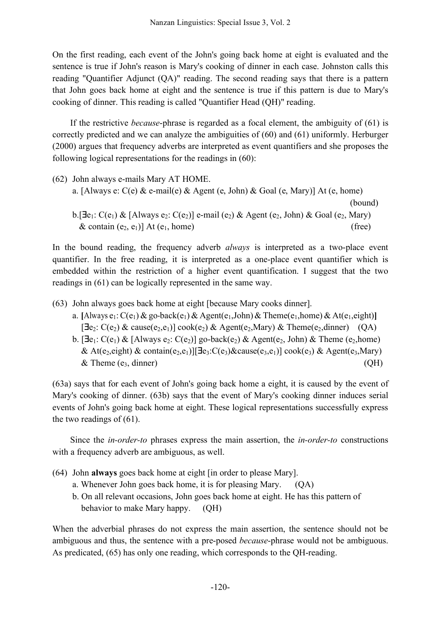On the first reading, each event of the John's going back home at eight is evaluated and the sentence is true if John's reason is Mary's cooking of dinner in each case. Johnston calls this reading "Quantifier Adjunct (QA)" reading. The second reading says that there is a pattern that John goes back home at eight and the sentence is true if this pattern is due to Mary's cooking of dinner. This reading is called "Quantifier Head (QH)" reading.

If the restrictive *because*-phrase is regarded as a focal element, the ambiguity of (61) is correctly predicted and we can analyze the ambiguities of (60) and (61) uniformly. Herburger (2000) argues that frequency adverbs are interpreted as event quantifiers and she proposes the following logical representations for the readings in (60):

(62) John always e-mails Mary AT HOME. a. [Always e:  $C(e)$  & e-mail(e) & Agent (e, John) & Goal (e, Mary)] At (e, home) (bound) b.[ $\exists e_1: C(e_1) \& \{\text{Always } e_2: C(e_2)\}\$ e-mail ( $e_2$ ) & Agent ( $e_2$ , John) & Goal ( $e_2$ , Mary)  $\&$  contain (e<sub>2,</sub> e<sub>1</sub>)] At (e<sub>1</sub>, home) (free)

In the bound reading, the frequency adverb *always* is interpreted as a two-place event quantifier. In the free reading, it is interpreted as a one-place event quantifier which is embedded within the restriction of a higher event quantification. I suggest that the two readings in (61) can be logically represented in the same way.

- (63) John always goes back home at eight [because Mary cooks dinner].
	- a. [Always  $e_1$ :  $C(e_1)$  & go-back( $e_1$ ) & Agent( $e_1$ , John) & Theme( $e_1$ , home) & At( $e_1$ , eight)]  $[\exists e_2: C(e_2) \& \text{ cause}(e_2, e_1)] \text{ cosk}(e_2) \& \text{ Agent}(e_2, Mary) \& \text{ Theme}(e_2, dinner)$  (QA)
	- b.  $[\exists e_1: C(e_1) \& [Always e_2: C(e_2)]$  go-back(e<sub>2</sub>) & Agent(e<sub>2</sub>, John) & Theme (e<sub>2</sub>, home) & At(e<sub>2</sub>,eight) & contain(e<sub>2</sub>,e<sub>1</sub>)][**E**<sub>e3</sub>:C(e<sub>3</sub>)&cause(e<sub>3</sub>,e<sub>1</sub>)] cook(e<sub>3</sub>) & Agent(e<sub>3</sub>,Mary)  $\&$  Theme (e<sub>3</sub>, dinner) (QH)

(63a) says that for each event of John's going back home a eight, it is caused by the event of Mary's cooking of dinner. (63b) says that the event of Mary's cooking dinner induces serial events of John's going back home at eight. These logical representations successfully express the two readings of (61).

Since the *in-order-to* phrases express the main assertion, the *in-order-to* constructions with a frequency adverb are ambiguous, as well.

- (64) John **always** goes back home at eight [in order to please Mary].
	- a. Whenever John goes back home, it is for pleasing Mary. (QA)
	- b. On all relevant occasions, John goes back home at eight. He has this pattern of behavior to make Mary happy. (OH)

When the adverbial phrases do not express the main assertion, the sentence should not be ambiguous and thus, the sentence with a pre-posed *because*-phrase would not be ambiguous. As predicated, (65) has only one reading, which corresponds to the QH-reading.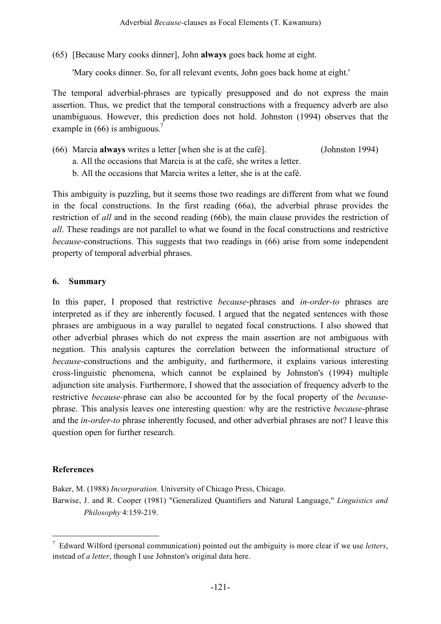(65) [Because Mary cooks dinner], John **always** goes back home at eight.

'Mary cooks dinner. So, for all relevant events, John goes back home at eight.'

The temporal adverbial-phrases are typically presupposed and do not express the main assertion. Thus, we predict that the temporal constructions with a frequency adverb are also unambiguous. However, this prediction does not hold. Johnston (1994) observes that the example in  $(66)$  is ambiguous.<sup>7</sup>

- (66) Marcia **always** writes a letter [when she is at the café]. (Johnston 1994)
	- a. All the occasions that Marcia is at the café, she writes a letter.
	- b. All the occasions that Marcia writes a letter, she is at the café.

This ambiguity is puzzling, but it seems those two readings are different from what we found in the focal constructions. In the first reading (66a), the adverbial phrase provides the restriction of *all* and in the second reading (66b), the main clause provides the restriction of *all*. These readings are not parallel to what we found in the focal constructions and restrictive *because*-constructions. This suggests that two readings in (66) arise from some independent property of temporal adverbial phrases.

### **6. Summary**

In this paper, I proposed that restrictive *because*-phrases and *in-order-to* phrases are interpreted as if they are inherently focused. I argued that the negated sentences with those phrases are ambiguous in a way parallel to negated focal constructions. I also showed that other adverbial phrases which do not express the main assertion are not ambiguous with negation. This analysis captures the correlation between the informational structure of *because*-constructions and the ambiguity, and furthermore, it explains various interesting cross-linguistic phenomena, which cannot be explained by Johnston's (1994) multiple adjunction site analysis. Furthermore, I showed that the association of frequency adverb to the restrictive *because-*phrase can also be accounted for by the focal property of the *because*phrase. This analysis leaves one interesting question: why are the restrictive *because*-phrase and the *in-order-to* phrase inherently focused, and other adverbial phrases are not? I leave this question open for further research.

### **References**

Baker, M. (1988) *Incorporation.* University of Chicago Press, Chicago.

Barwise, J. and R. Cooper (1981) "Generalized Quantifiers and Natural Language," *Linguistics and Philosophy* 4:159-219.

 <sup>7</sup> Edward Wilford (personal communication) pointed out the ambiguity is more clear if we use *letters*, instead of *a letter*, though I use Johnston's original data here.